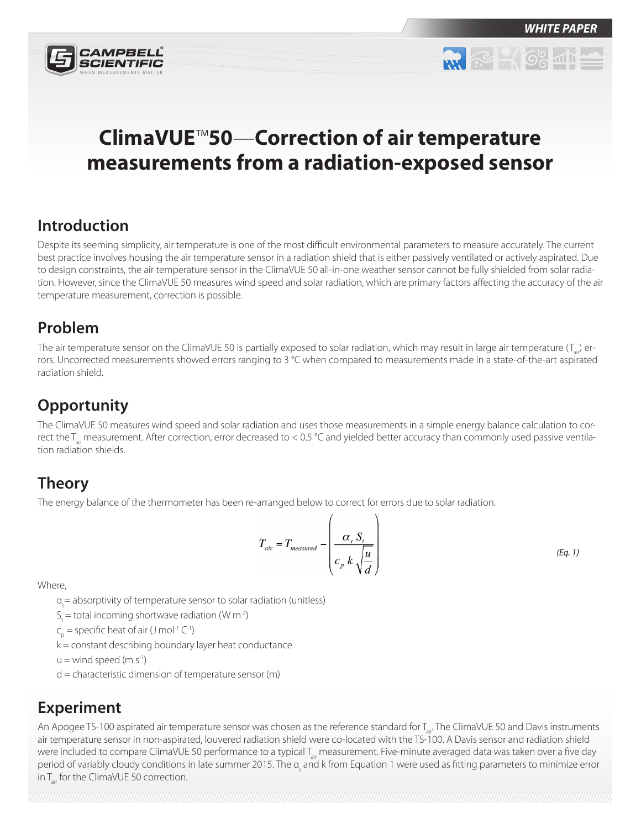

**RR RP 4 6% 40** 

# **ClimaVUE**™**50**—**Correction of air temperature measurements from a radiation-exposed sensor**

#### **Introduction**

Despite its seeming simplicity, air temperature is one of the most difficult environmental parameters to measure accurately. The current best practice involves housing the air temperature sensor in a radiation shield that is either passively ventilated or actively aspirated. Due to design constraints, the air temperature sensor in the ClimaVUE 50 all-in-one weather sensor cannot be fully shielded from solar radiation. However, since the ClimaVUE 50 measures wind speed and solar radiation, which are primary factors affecting the accuracy of the air temperature measurement, correction is possible.

#### **Problem**

The air temperature sensor on the ClimaVUE 50 is partially exposed to solar radiation, which may result in large air temperature  $(T_{1})$  errors. Uncorrected measurements showed errors ranging to 3 °C when compared to measurements made in a state-of-the-art aspirated radiation shield.

# **Opportunity**

The ClimaVUE 50 measures wind speed and solar radiation and uses those measurements in a simple energy balance calculation to correct the  $T_{air}$  measurement. After correction, error decreased to < 0.5 °C and yielded better accuracy than commonly used passive ventilation radiation shields.

## **Theory**

The energy balance of the thermometer has been re-arranged below to correct for errors due to solar radiation.

$$
T_{air} = T_{measured} - \left(\frac{\alpha_s S_t}{c_p k \sqrt{\frac{u}{d}}}\right)
$$
 (Eq. 1)

Where,

α<sub>s</sub> = absorptivity of temperature sensor to solar radiation (unitless)

- $S_t$  = total incoming shortwave radiation (W m<sup>-2</sup>)
- $c_{\rho} =$  specific heat of air (J mol<sup>-1</sup> C<sup>-1</sup>)
- k = constant describing boundary layer heat conductance
- $u =$  wind speed (m s<sup>-1</sup>)
- $d =$  characteristic dimension of temperature sensor (m)

## **Experiment**

An Apogee TS-100 aspirated air temperature sensor was chosen as the reference standard for T<sub>air</sub>. The ClimaVUE 50 and Davis instruments air temperature sensor in non-aspirated, louvered radiation shield were co-located with the TS-100. A Davis sensor and radiation shield were included to compare ClimaVUE 50 performance to a typical T<sub>air</sub> measurement. Five-minute averaged data was taken over a five day period of variably cloudy conditions in late summer 2015. The α<sub>s</sub> and k from Equation 1 were used as fitting parameters to minimize error in  $T_{air}$  for the ClimaVUE 50 correction.